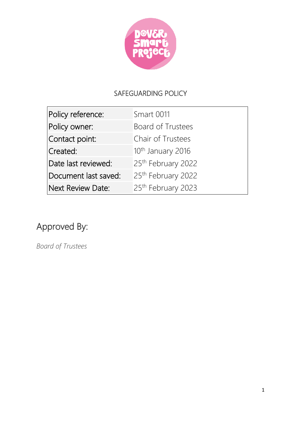

# SAFEGUARDING POLICY

| Policy reference:        | Smart 0011                     |
|--------------------------|--------------------------------|
| Policy owner:            | <b>Board of Trustees</b>       |
| Contact point:           | Chair of Trustees              |
| Created:                 | 10 <sup>th</sup> January 2016  |
| Date last reviewed:      | 25th February 2022             |
| Document last saved:     | 25 <sup>th</sup> February 2022 |
| <b>Next Review Date:</b> | 25th February 2023             |

# Approved By:

*Board of Trustees*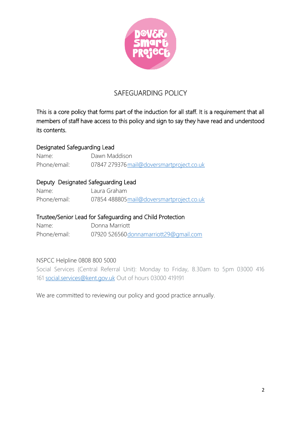

## SAFEGUARDING POLICY

This is a core policy that forms part of the induction for all staff. It is a requirement that all members of staff have access to this policy and sign to say they have read and understood its contents.

#### Designated Safeguarding Lead

Name: Dawn Maddison Phone/email: 07847 279376 mail@doversmartproject.co.uk

## Deputy Designated Safeguarding Lead

| Name:        | Laura Graham                              |
|--------------|-------------------------------------------|
| Phone/email: | 07854 488805 mail@doversmartproject.co.uk |

#### Trustee/Senior Lead for Safeguarding and Child Protection

Name: Donna Marriott Phone/email: 07920 52656[0donnamarriott29@gmail.com](mailto:donnamarriott29@gmail.com)

#### NSPCC Helpline 0808 800 5000

Social Services (Central Referral Unit): Monday to Friday, 8.30am to 5pm 03000 416 161 [social.services@kent.gov.uk](mailto:social.services@kent.gov.uk) Out of hours 03000 419191

We are committed to reviewing our policy and good practice annually.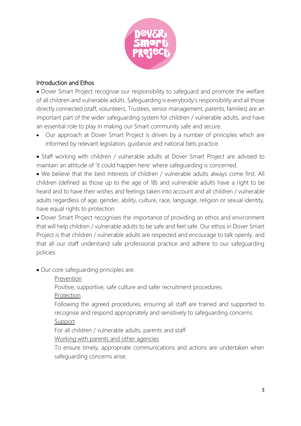

## Introduction and Ethos

• Dover Smart Project recognise our responsibility to safeguard and promote the welfare of all children and vulnerable adults. Safeguarding is everybody's responsibility and all those directly connected (staff, volunteers, Trustees, senior management, parents, families) are an important part of the wider safeguarding system for children / vulnerable adults, and have an essential role to play in making our Smart community safe and secure.

• Our approach at Dover Smart Project is driven by a number of principles which are informed by relevant legislation, guidance and national bets practice.

• Staff working with children / vulnerable adults at Dover Smart Project are advised to maintain an attitude of 'it could happen here' where safeguarding is concerned.

• We believe that the best interests of children / vulnerable adults always come first. All children (defined as those up to the age of 18) and vulnerable adults have a right to be heard and to have their wishes and feelings taken into account and all children / vulnerable adults regardless of age, gender, ability, culture, race, language, religion or sexual identity, have equal rights to protection.

• Dover Smart Project recognises the importance of providing an ethos and environment that will help children / vulnerable adults to be safe and feel safe. Our ethos in Dover Smart Project is that children / vulnerable adults are respected and encourage to talk openly, and that all our staff understand safe professional practice and adhere to our safeguarding policies.

- Our core safeguarding principles are:
	- Prevention

Positive, supportive, safe culture and safer recruitment procedures.

Protection

Following the agreed procedures, ensuring all staff are trained and supported to recognise and respond appropriately and sensitively to safeguarding concerns. Support

For all children / vulnerable adults, parents and staff

Working with parents and other agencies

To ensure timely, appropriate communications and actions are undertaken when safeguarding concerns arise.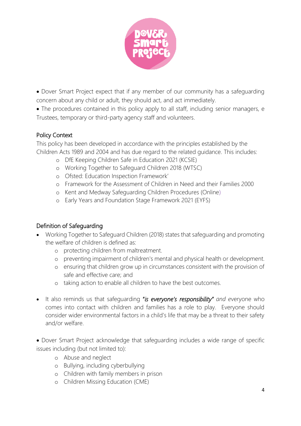

• Dover Smart Project expect that if any member of our community has a safeguarding concern about any child or adult, they should act, and act immediately.

• The procedures contained in this policy apply to all staff, including senior managers, e Trustees, temporary or third-party agency staff and volunteers.

## Policy Context

This policy has been developed in accordance with the principles established by the Children Acts 1989 and 2004 and has due regard to the related guidance. This includes:

- o DfE Keeping Children Safe in Education 2021 (KCSIE)
- o Working Together to Safeguard Children 2018 (WTSC)
- o Ofsted: Education Inspection Framework'
- o Framework for the Assessment of Children in Need and their Families 2000
- o Kent and Medway Safeguarding Children Procedures (Online)
- o Early Years and Foundation Stage Framework 2021 (EYFS)

## Definition of Safeguarding

- Working Together to Safeguard Children (2018) states that safeguarding and promoting the welfare of children is defined as:
	- o protecting children from maltreatment.
	- o preventing impairment of children's mental and physical health or development.
	- o ensuring that children grow up in circumstances consistent with the provision of safe and effective care; and
	- o taking action to enable all children to have the best outcomes.
- It also reminds us that safeguarding "*is everyone's responsibility" and e*veryone who comes into contact with children and families has a role to play. Everyone should consider wider environmental factors in a child's life that may be a threat to their safety and/or welfare.
- Dover Smart Project acknowledge that safeguarding includes a wide range of specific issues including (but not limited to):
	- o Abuse and neglect
	- o Bullying, including cyberbullying
	- o Children with family members in prison
	- o Children Missing Education (CME)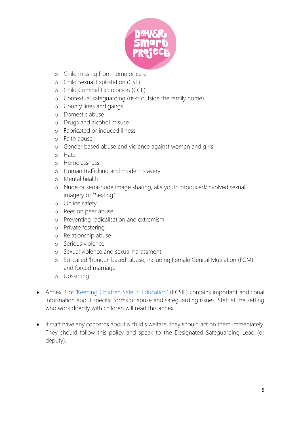

- o Child missing from home or care
- o Child Sexual Exploitation (CSE)
- o Child Criminal Exploitation (CCE)
- o Contextual safeguarding (risks outside the family home)
- o County lines and gangs
- o Domestic abuse
- o Drugs and alcohol misuse
- o Fabricated or induced illness
- o Faith abuse
- o Gender based abuse and violence against women and girls
- o Hate
- o Homelessness
- o Human trafficking and modern slavery
- o Mental health
- o Nude or semi-nude image sharing, aka youth produced/involved sexual imagery or "Sexting"
- o Online safety
- o Peer on peer abuse
- o Preventing radicalisation and extremism
- o Private fostering
- o Relationship abuse
- o Serious violence
- o Sexual violence and sexual harassment
- o So-called 'honour-based' abuse, including Female Genital Mutilation (FGM) and forced marriage
- o Upskirting
- Annex B of ['Keeping Children Safe in Education'](https://www.gov.uk/government/publications/keeping-children-safe-in-education--2) (KCSIE) contains important additional information about specific forms of abuse and safeguarding issues. Staff at the setting who work directly with children will read this annex.
- If staff have any concerns about a child's welfare, they should act on them immediately. They should follow this policy and speak to the Designated Safeguarding Lead (or deputy).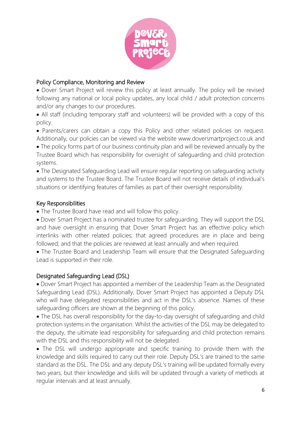

## Policy Compliance, Monitoring and Review

• Dover Smart Project will review this policy at least annually. The policy will be revised following any national or local policy updates, any local child / adult protection concerns and/or any changes to our procedures.

• All staff (including temporary staff and volunteers) will be provided with a copy of this policy.

• Parents/carers can obtain a copy this Policy and other related policies on request. Additionally, our policies can be viewed via the website www.doversmartproject.co.uk and

• The policy forms part of our business continuity plan and will be reviewed annually by the Trustee Board which has responsibility for oversight of safeguarding and child protection systems.

• The Designated Safeguarding Lead will ensure regular reporting on safeguarding activity and systems to the Trustee Board. The Trustee Board will not receive details of individual's situations or identifying features of families as part of their oversight responsibility.

## Key Responsibilities

• The Trustee Board have read and will follow this policy.

• Dover Smart Project has a nominated trustee for safeguarding. They will support the DSL and have oversight in ensuring that Dover Smart Project has an effective policy which interlinks with other related policies; that agreed procedures are in place and being followed; and that the policies are reviewed at least annually and when required.

• The Trustee Board and Leadership Team will ensure that the Designated Safeguarding Lead is supported in their role.

## Designated Safeguarding Lead (DSL)

• Dover Smart Project has appointed a member of the Leadership Team as the Designated Safeguarding Lead (DSL). Additionally, Dover Smart Project has appointed a Deputy DSL who will have delegated responsibilities and act in the DSL's absence. Names of these safeguarding officers are shown at the beginning of this policy.

• The DSL has overall responsibility for the day-to-day oversight of safeguarding and child protection systems in the organisation. Whilst the activities of the DSL may be delegated to the deputy, the ultimate lead responsibility for safeguarding and child protection remains with the DSL and this responsibility will not be delegated.

• The DSL will undergo appropriate and specific training to provide them with the knowledge and skills required to carry out their role. Deputy DSL's are trained to the same standard as the DSL. The DSL and any deputy DSL's training will be updated formally every two years, but their knowledge and skills will be updated through a variety of methods at regular intervals and at least annually.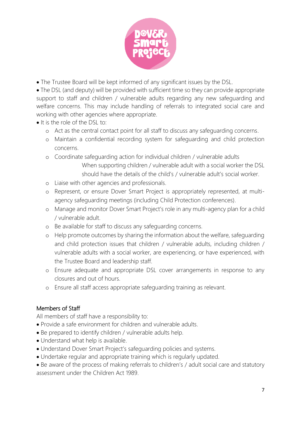

• The Trustee Board will be kept informed of any significant issues by the DSL.

• The DSL (and deputy) will be provided with sufficient time so they can provide appropriate support to staff and children / vulnerable adults regarding any new safeguarding and welfare concerns. This may include handling of referrals to integrated social care and working with other agencies where appropriate.

- It is the role of the DSL to:
	- o Act as the central contact point for all staff to discuss any safeguarding concerns.
	- o Maintain a confidential recording system for safeguarding and child protection concerns.
	- o Coordinate safeguarding action for individual children / vulnerable adults When supporting children / vulnerable adult with a social worker the DSL should have the details of the child's / vulnerable adult's social worker.
	- o Liaise with other agencies and professionals.
	- o Represent, or ensure Dover Smart Project is appropriately represented, at multiagency safeguarding meetings (including Child Protection conferences).
	- o Manage and monitor Dover Smart Project's role in any multi-agency plan for a child / vulnerable adult.
	- o Be available for staff to discuss any safeguarding concerns.
	- o Help promote outcomes by sharing the information about the welfare, safeguarding and child protection issues that children / vulnerable adults, including children / vulnerable adults with a social worker, are experiencing, or have experienced, with the Trustee Board and leadership staff.
	- o Ensure adequate and appropriate DSL cover arrangements in response to any closures and out of hours.
	- o Ensure all staff access appropriate safeguarding training as relevant.

## Members of Staff

All members of staff have a responsibility to:

- Provide a safe environment for children and vulnerable adults.
- Be prepared to identify children / vulnerable adults help.
- Understand what help is available.
- Understand Dover Smart Project's safeguarding policies and systems.
- Undertake regular and appropriate training which is regularly updated.
- Be aware of the process of making referrals to children's / adult social care and statutory assessment under the Children Act 1989.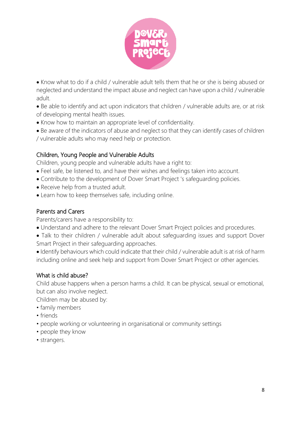

• Know what to do if a child / vulnerable adult tells them that he or she is being abused or neglected and understand the impact abuse and neglect can have upon a child / vulnerable adult.

• Be able to identify and act upon indicators that children / vulnerable adults are, or at risk of developing mental health issues.

- Know how to maintain an appropriate level of confidentiality.
- Be aware of the indicators of abuse and neglect so that they can identify cases of children / vulnerable adults who may need help or protection.

## Children, Young People and Vulnerable Adults

Children, young people and vulnerable adults have a right to:

- Feel safe, be listened to, and have their wishes and feelings taken into account.
- Contribute to the development of Dover Smart Project 's safeguarding policies.
- Receive help from a trusted adult.
- Learn how to keep themselves safe, including online.

## Parents and Carers

Parents/carers have a responsibility to:

- Understand and adhere to the relevant Dover Smart Project policies and procedures.
- Talk to their children / vulnerable adult about safeguarding issues and support Dover Smart Project in their safeguarding approaches.

• Identify behaviours which could indicate that their child / vulnerable adult is at risk of harm including online and seek help and support from Dover Smart Project or other agencies.

## What is child abuse?

Child abuse happens when a person harms a child. It can be physical, sexual or emotional, but can also involve neglect.

Children may be abused by:

- family members
- friends
- people working or volunteering in organisational or community settings
- people they know
- strangers.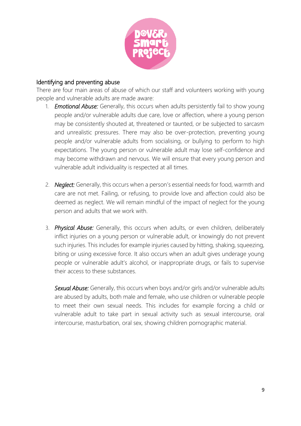

#### Identifying and preventing abuse

There are four main areas of abuse of which our staff and volunteers working with young people and vulnerable adults are made aware:

- 1. *Emotional Abuse:* Generally, this occurs when adults persistently fail to show young people and/or vulnerable adults due care, love or affection, where a young person may be consistently shouted at, threatened or taunted, or be subjected to sarcasm and unrealistic pressures. There may also be over-protection, preventing young people and/or vulnerable adults from socialising, or bullying to perform to high expectations. The young person or vulnerable adult may lose self-confidence and may become withdrawn and nervous. We will ensure that every young person and vulnerable adult individuality is respected at all times.
- 2. *Neglect:* Generally, this occurs when a person's essential needs for food, warmth and care are not met. Failing, or refusing, to provide love and affection could also be deemed as neglect. We will remain mindful of the impact of neglect for the young person and adults that we work with.
- 3. *Physical Abuse:* Generally, this occurs when adults, or even children, deliberately inflict injuries on a young person or vulnerable adult, or knowingly do not prevent such injuries. This includes for example injuries caused by hitting, shaking, squeezing, biting or using excessive force. It also occurs when an adult gives underage young people or vulnerable adult's alcohol, or inappropriate drugs, or fails to supervise their access to these substances.

*Sexual Abuse:* Generally, this occurs when boys and/or girls and/or vulnerable adults are abused by adults, both male and female, who use children or vulnerable people to meet their own sexual needs. This includes for example forcing a child or vulnerable adult to take part in sexual activity such as sexual intercourse, oral intercourse, masturbation, oral sex, showing children pornographic material.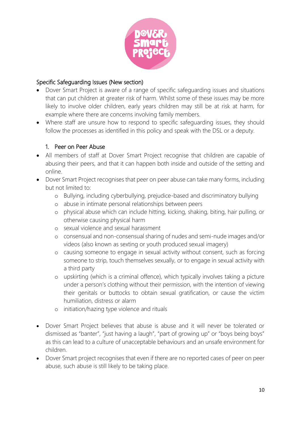

## Specific Safeguarding Issues (New section)

- Dover Smart Project is aware of a range of specific safeguarding issues and situations that can put children at greater risk of harm. Whilst some of these issues may be more likely to involve older children, early years children may still be at risk at harm, for example where there are concerns involving family members.
- Where staff are unsure how to respond to specific safeguarding issues, they should follow the processes as identified in this policy and speak with the DSL or a deputy.

## 1. Peer on Peer Abuse

- All members of staff at Dover Smart Project recognise that children are capable of abusing their peers, and that it can happen both inside and outside of the setting and online.
- Dover Smart Project recognises that peer on peer abuse can take many forms, including but not limited to:
	- o Bullying, including cyberbullying, prejudice-based and discriminatory bullying
	- o abuse in intimate personal relationships between peers
	- o physical abuse which can include hitting, kicking, shaking, biting, hair pulling, or otherwise causing physical harm
	- o sexual violence and sexual harassment
	- o consensual and non-consensual sharing of nudes and semi-nude images and/or videos (also known as sexting or youth produced sexual imagery)
	- o causing someone to engage in sexual activity without consent, such as forcing someone to strip, touch themselves sexually, or to engage in sexual activity with a third party
	- o upskirting (which is a criminal offence), which typically involves taking a picture under a person's clothing without their permission, with the intention of viewing their genitals or buttocks to obtain sexual gratification, or cause the victim humiliation, distress or alarm
	- o initiation/hazing type violence and rituals
- Dover Smart Project believes that abuse is abuse and it will never be tolerated or dismissed as "banter", "just having a laugh", "part of growing up" or "boys being boys" as this can lead to a culture of unacceptable behaviours and an unsafe environment for children.
- Dover Smart project recognises that even if there are no reported cases of peer on peer abuse, such abuse is still likely to be taking place.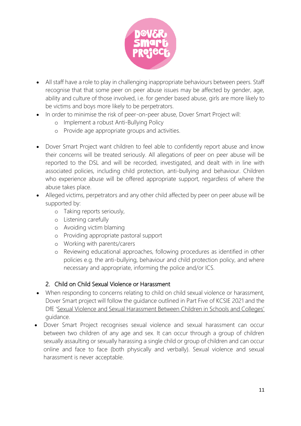

- All staff have a role to play in challenging inappropriate behaviours between peers. Staff recognise that that some peer on peer abuse issues may be affected by gender, age, ability and culture of those involved, i.e. for gender based abuse, girls are more likely to be victims and boys more likely to be perpetrators.
- In order to minimise the risk of peer-on-peer abuse, Dover Smart Project will:
	- o Implement a robust Anti-Bullying Policy
	- o Provide age appropriate groups and activities.
- Dover Smart Project want children to feel able to confidently report abuse and know their concerns will be treated seriously. All allegations of peer on peer abuse will be reported to the DSL and will be recorded, investigated, and dealt with in line with associated policies, including child protection, anti-bullying and behaviour. Children who experience abuse will be offered appropriate support, regardless of where the abuse takes place.
- Alleged victims, perpetrators and any other child affected by peer on peer abuse will be supported by:
	- o Taking reports seriously,
	- o Listening carefully
	- o Avoiding victim blaming
	- o Providing appropriate pastoral support
	- o Working with parents/carers
	- o Reviewing educational approaches, following procedures as identified in other policies e.g. the anti-bullying, behaviour and child protection policy, and where necessary and appropriate, informing the police and/or ICS*.*

## 2. Child on Child Sexual Violence or Harassment

- When responding to concerns relating to child on child sexual violence or harassment, Dover Smart project will follow the guidance outlined in Part Five of KCSIE 2021 and the DfE ['Sexual Violence and Sexual Harassment Between Children in Schools and Colleges'](https://www.gov.uk/government/publications/sexual-violence-and-sexual-harassment-between-children-in-schools-and-colleges) guidance.
- Dover Smart Project recognises sexual violence and sexual harassment can occur between two children of any age and sex. It can occur through a group of children sexually assaulting or sexually harassing a single child or group of children and can occur online and face to face (both physically and verbally). Sexual violence and sexual harassment is never acceptable.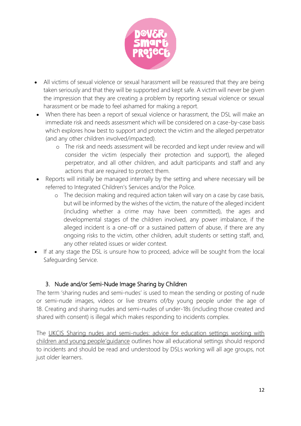

- All victims of sexual violence or sexual harassment will be reassured that they are being taken seriously and that they will be supported and kept safe. A victim will never be given the impression that they are creating a problem by reporting sexual violence or sexual harassment or be made to feel ashamed for making a report.
- When there has been a report of sexual violence or harassment, the DSL will make an immediate risk and needs assessment which will be considered on a case-by-case basis which explores how best to support and protect the victim and the alleged perpetrator (and any other children involved/impacted).
	- o The risk and needs assessment will be recorded and kept under review and will consider the victim (especially their protection and support), the alleged perpetrator, and all other children, and adult participants and staff and any actions that are required to protect them.
- Reports will initially be managed internally by the setting and where necessary will be referred to Integrated Children's Services and/or the Police.
	- o The decision making and required action taken will vary on a case by case basis, but will be informed by the wishes of the victim, the nature of the alleged incident (including whether a crime may have been committed), the ages and developmental stages of the children involved, any power imbalance, if the alleged incident is a one-off or a sustained pattern of abuse, if there are any ongoing risks to the victim, other children, adult students or setting staff, and, any other related issues or wider context.
- If at any stage the DSL is unsure how to proceed, advice will be sought from the local Safeguarding Service.

## 3. Nude and/or Semi-Nude Image Sharing by Children

The term 'sharing nudes and semi-nudes' is used to mean the sending or posting of nude or semi-nude images, videos or live streams of/by young people under the age of 18. Creating and sharing nudes and semi-nudes of under-18s (including those created and shared with consent) is illegal which makes responding to incidents complex.

The UKCIS [Sharing nudes and semi-nudes: advice for education settings working with](https://www.gov.uk/government/publications/sharing-nudes-and-semi-nudes-advice-for-education-settings-working-with-children-and-young-people)  [children and young people](https://www.gov.uk/government/publications/sharing-nudes-and-semi-nudes-advice-for-education-settings-working-with-children-and-young-people)'guidance outlines how all educational settings should respond to incidents and should be read and understood by DSLs working will all age groups, not just older learners.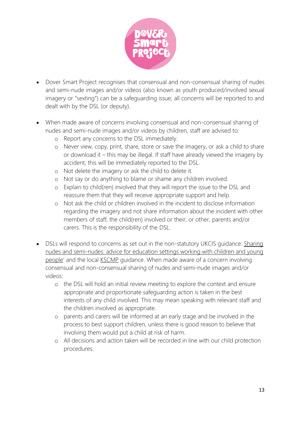

- Dover Smart Project recognises that consensual and non-consensual sharing of nudes and semi-nude images and/or videos (also known as youth produced/involved sexual imagery or "sexting") can be a safeguarding issue; all concerns will be reported to and dealt with by the DSL (or deputy).
- When made aware of concerns involving consensual and non-consensual sharing of nudes and semi-nude images and/or videos by children, staff are advised to:
	- o Report any concerns to the DSL immediately.
	- o Never view, copy, print, share, store or save the imagery, or ask a child to share or download it – this may be illegal. If staff have already viewed the imagery by accident, this will be immediately reported to the DSL.
	- o Not delete the imagery or ask the child to delete it.
	- o Not say or do anything to blame or shame any children involved.
	- o Explain to child(ren) involved that they will report the issue to the DSL and reassure them that they will receive appropriate support and help.
	- o Not ask the child or children involved in the incident to disclose information regarding the imagery and not share information about the incident with other members of staff, the child(ren) involved or their, or other, parents and/or carers. This is the responsibility of the DSL.
- DSLs will respond to concerns as set out in the non-statutory UKCIS quidance: Sharing [nudes and semi-nudes: advice for education settings working with children and young](https://www.gov.uk/government/publications/sharing-nudes-and-semi-nudes-advice-for-education-settings-working-with-children-and-young-people)  [people](https://www.gov.uk/government/publications/sharing-nudes-and-semi-nudes-advice-for-education-settings-working-with-children-and-young-people)' and the local [KSCMP](http://www.kscb.org.uk/guidance/online-safety) guidance. When made aware of a concern involving consensual and non-consensual sharing of nudes and semi-nude images and/or videos:
	- o the DSL will hold an initial review meeting to explore the context and ensure appropriate and proportionate safeguarding action is taken in the best interests of any child involved. This may mean speaking with relevant staff and the children involved as appropriate.
	- o parents and carers will be informed at an early stage and be involved in the process to best support children, unless there is good reason to believe that involving them would put a child at risk of harm.
	- o All decisions and action taken will be recorded in line with our child protection procedures.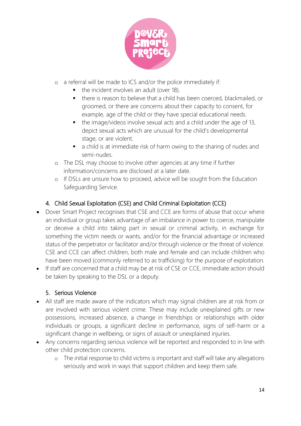

- o a referral will be made to ICS and/or the police immediately if:
	- the incident involves an adult (over 18).
	- there is reason to believe that a child has been coerced, blackmailed, or groomed, or there are concerns about their capacity to consent, for example, age of the child or they have special educational needs.
	- the image/videos involve sexual acts and a child under the age of 13, depict sexual acts which are unusual for the child's developmental stage, or are violent.
	- a child is at immediate risk of harm owing to the sharing of nudes and semi-nudes.
- o The DSL may choose to involve other agencies at any time if further information/concerns are disclosed at a later date.
- o If DSLs are unsure how to proceed, advice will be sought from the Education Safeguarding Service.

## 4. Child Sexual Exploitation (CSE) and Child Criminal Exploitation (CCE)

- Dover Smart Project recognises that CSE and CCE are forms of abuse that occur where an individual or group takes advantage of an imbalance in power to coerce, manipulate or deceive a child into taking part in sexual or criminal activity, in exchange for something the victim needs or wants, and/or for the financial advantage or increased status of the perpetrator or facilitator and/or through violence or the threat of violence. CSE and CCE can affect children, both male and female and can include children who have been moved (commonly referred to as trafficking) for the purpose of exploitation.
- If staff are concerned that a child may be at risk of CSE or CCE, immediate action should be taken by speaking to the DSL or a deputy.

## 5. Serious Violence

- All staff are made aware of the indicators which may signal children are at risk from or are involved with serious violent crime. These may include unexplained gifts or new possessions, increased absence, a change in friendships or relationships with older individuals or groups, a significant decline in performance, signs of self-harm or a significant change in wellbeing, or signs of assault or unexplained injuries.
- Any concerns regarding serious violence will be reported and responded to in line with other child protection concerns.
	- o The initial response to child victims is important and staff will take any allegations seriously and work in ways that support children and keep them safe.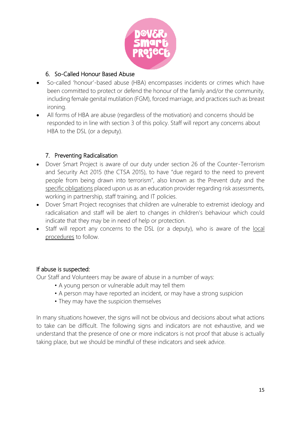

## 6. So-Called Honour Based Abuse

- So-called 'honour'-based abuse (HBA) encompasses incidents or crimes which have been committed to protect or defend the honour of the family and/or the community, including female genital mutilation (FGM), forced marriage, and practices such as breast ironing.
- All forms of HBA are abuse (regardless of the motivation) and concerns should be responded to in line with section 3 of this policy. Staff will report any concerns about HBA to the DSL (or a deputy).

## 7. Preventing Radicalisation

- Dover Smart Project is aware of our duty under section 26 of the Counter-Terrorism and Security Act 2015 (the CTSA 2015), to have "due regard to the need to prevent people from being drawn into terrorism", also known as the Prevent duty and the [specific obligations](https://www.gov.uk/government/publications/prevent-duty-guidance/prevent-duty-guidance-for-further-education-institutions-in-england-and-wales) placed upon us as an education provider regarding risk assessments, working in partnership, staff training, and IT policies.
- Dover Smart Project recognises that children are vulnerable to extremist ideology and radicalisation and staff will be alert to changes in children's behaviour which could indicate that they may be in need of help or protection.
- Staff will report any concerns to the DSL (or a deputy), who is aware of the local [procedures](https://www.kelsi.org.uk/child-protection-and-safeguarding/prevent-within-schools) to follow.

## If abuse is suspected:

Our Staff and Volunteers may be aware of abuse in a number of ways:

- A young person or vulnerable adult may tell them
- A person may have reported an incident, or may have a strong suspicion
- They may have the suspicion themselves

In many situations however, the signs will not be obvious and decisions about what actions to take can be difficult. The following signs and indicators are not exhaustive, and we understand that the presence of one or more indicators is not proof that abuse is actually taking place, but we should be mindful of these indicators and seek advice.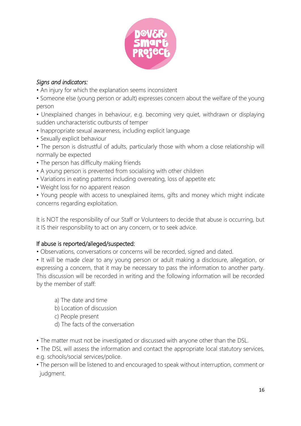

## *Signs and indicators:*

- An injury for which the explanation seems inconsistent
- Someone else (young person or adult) expresses concern about the welfare of the young person
- Unexplained changes in behaviour, e.g. becoming very quiet, withdrawn or displaying sudden uncharacteristic outbursts of temper
- Inappropriate sexual awareness, including explicit language
- Sexually explicit behaviour
- The person is distrustful of adults, particularly those with whom a close relationship will normally be expected
- The person has difficulty making friends
- A young person is prevented from socialising with other children
- Variations in eating patterns including overeating, loss of appetite etc
- Weight loss for no apparent reason
- Young people with access to unexplained items, gifts and money which might indicate concerns regarding exploitation.

It is NOT the responsibility of our Staff or Volunteers to decide that abuse is occurring, but it IS their responsibility to act on any concern, or to seek advice.

## If abuse is reported/alleged/suspected:

• Observations, conversations or concerns will be recorded, signed and dated.

• It will be made clear to any young person or adult making a disclosure, allegation, or expressing a concern, that it may be necessary to pass the information to another party. This discussion will be recorded in writing and the following information will be recorded by the member of staff:

- a) The date and time
- b) Location of discussion
- c) People present
- d) The facts of the conversation
- The matter must not be investigated or discussed with anyone other than the DSL.
- The DSL will assess the information and contact the appropriate local statutory services, e.g. schools/social services/police.
- The person will be listened to and encouraged to speak without interruption, comment or judgment.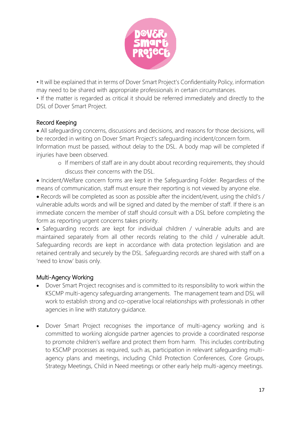

• It will be explained that in terms of Dover Smart Project's Confidentiality Policy, information may need to be shared with appropriate professionals in certain circumstances.

• If the matter is regarded as critical it should be referred immediately and directly to the DSL of Dover Smart Project.

## Record Keeping

• All safeguarding concerns, discussions and decisions, and reasons for those decisions, will be recorded in writing on Dover Smart Project's safeguarding incident/concern form. Information must be passed, without delay to the DSL. A body map will be completed if injuries have been observed.

o If members of staff are in any doubt about recording requirements, they should discuss their concerns with the DSL.

• Incident/Welfare concern forms are kept in the Safeguarding Folder. Regardless of the means of communication, staff must ensure their reporting is not viewed by anyone else.

• Records will be completed as soon as possible after the incident/event, using the child's / vulnerable adults words and will be signed and dated by the member of staff. If there is an immediate concern the member of staff should consult with a DSL before completing the form as reporting urgent concerns takes priority.

• Safeguarding records are kept for individual children / vulnerable adults and are maintained separately from all other records relating to the child / vulnerable adult. Safeguarding records are kept in accordance with data protection legislation and are retained centrally and securely by the DSL. Safeguarding records are shared with staff on a 'need to know' basis only.

## Multi-Agency Working

- Dover Smart Project recognises and is committed to its responsibility to work within the KSCMP multi-agency safeguarding arrangements. The management team and DSL will work to establish strong and co-operative local relationships with professionals in other agencies in line with statutory guidance.
- Dover Smart Project recognises the importance of multi-agency working and is committed to working alongside partner agencies to provide a coordinated response to promote children's welfare and protect them from harm. This includes contributing to KSCMP processes as required, such as, participation in relevant safeguarding multiagency plans and meetings, including Child Protection Conferences, Core Groups, Strategy Meetings, Child in Need meetings or other early help multi-agency meetings.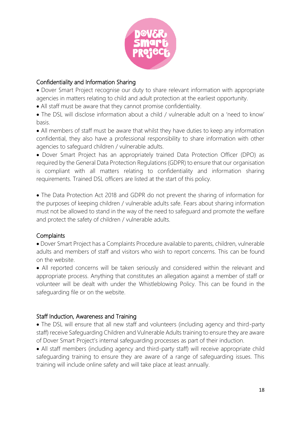

## Confidentiality and Information Sharing

• Dover Smart Project recognise our duty to share relevant information with appropriate agencies in matters relating to child and adult protection at the earliest opportunity.

- All staff must be aware that they cannot promise confidentiality.
- The DSL will disclose information about a child / vulnerable adult on a 'need to know' basis.

• All members of staff must be aware that whilst they have duties to keep any information confidential, they also have a professional responsibility to share information with other agencies to safeguard children / vulnerable adults.

• Dover Smart Project has an appropriately trained Data Protection Officer (DPO) as required by the General Data Protection Regulations (GDPR) to ensure that our organisation is compliant with all matters relating to confidentiality and information sharing requirements. Trained DSL officers are listed at the start of this policy.

• The Data Protection Act 2018 and GDPR do not prevent the sharing of information for the purposes of keeping children / vulnerable adults safe. Fears about sharing information must not be allowed to stand in the way of the need to safeguard and promote the welfare and protect the safety of children / vulnerable adults.

## **Complaints**

• Dover Smart Project has a Complaints Procedure available to parents, children, vulnerable adults and members of staff and visitors who wish to report concerns. This can be found on the website.

• All reported concerns will be taken seriously and considered within the relevant and appropriate process. Anything that constitutes an allegation against a member of staff or volunteer will be dealt with under the Whistleblowing Policy. This can be found in the safeguarding file or on the website.

## Staff Induction, Awareness and Training

• The DSL will ensure that all new staff and volunteers (including agency and third-party staff) receive Safeguarding Children and Vulnerable Adults training to ensure they are aware of Dover Smart Project's internal safeguarding processes as part of their induction.

• All staff members (including agency and third-party staff) will receive appropriate child safeguarding training to ensure they are aware of a range of safeguarding issues. This training will include online safety and will take place at least annually.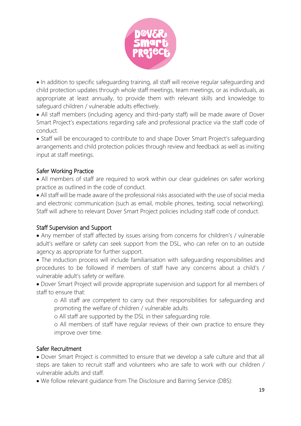

• In addition to specific safeguarding training, all staff will receive regular safeguarding and child protection updates through whole staff meetings, team meetings, or as individuals, as appropriate at least annually, to provide them with relevant skills and knowledge to safeguard children / vulnerable adults effectively.

• All staff members (including agency and third-party staff) will be made aware of Dover Smart Project's expectations regarding safe and professional practice via the staff code of conduct.

• Staff will be encouraged to contribute to and shape Dover Smart Project's safeguarding arrangements and child protection policies through review and feedback as well as inviting input at staff meetings.

## Safer Working Practice

• All members of staff are required to work within our clear guidelines on safer working practice as outlined in the code of conduct.

• All staff will be made aware of the professional risks associated with the use of social media and electronic communication (such as email, mobile phones, texting, social networking). Staff will adhere to relevant Dover Smart Project policies including staff code of conduct.

## Staff Supervision and Support

• Any member of staff affected by issues arising from concerns for children's / vulnerable adult's welfare or safety can seek support from the DSL, who can refer on to an outside agency as appropriate for further support.

• The induction process will include familiarisation with safeguarding responsibilities and procedures to be followed if members of staff have any concerns about a child's / vulnerable adult's safety or welfare.

• Dover Smart Project will provide appropriate supervision and support for all members of staff to ensure that:

o All staff are competent to carry out their responsibilities for safeguarding and promoting the welfare of children / vulnerable adults

o All staff are supported by the DSL in their safeguarding role.

o All members of staff have regular reviews of their own practice to ensure they improve over time.

## Safer Recruitment

• Dover Smart Project is committed to ensure that we develop a safe culture and that all steps are taken to recruit staff and volunteers who are safe to work with our children / vulnerable adults and staff.

• We follow relevant guidance from The Disclosure and Barring Service (DBS):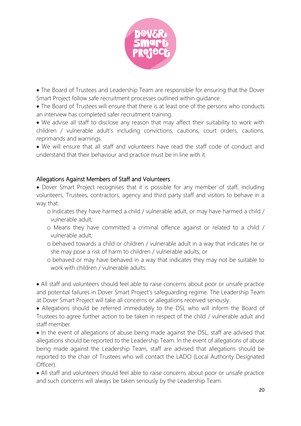

• The Board of Trustees and Leadership Team are responsible for ensuring that the Dover Smart Project follow safe recruitment processes outlined within guidance.

• The Board of Trustees will ensure that there is at least one of the persons who conducts an interview has completed safer recruitment training.

• We advise all staff to disclose any reason that may affect their suitability to work with children / vulnerable adult's including convictions, cautions, court orders, cautions, reprimands and warnings.

• We will ensure that all staff and volunteers have read the staff code of conduct and understand that their behaviour and practice must be in line with it.

## Allegations Against Members of Staff and Volunteers

• Dover Smart Project recognises that it is possible for any member of staff, including volunteers, Trustees, contractors, agency and third party staff and visitors to behave in a way that:

- o Indicates they have harmed a child / vulnerable adult, or may have harmed a child / vulnerable adult;
- o Means they have committed a criminal offence against or related to a child / vulnerable adult;
- o behaved towards a child or children / vulnerable adult in a way that indicates he or she may pose a risk of harm to children / vulnerable adults; or
- o behaved or may have behaved in a way that indicates they may not be suitable to work with children / vulnerable adults.

• All staff and volunteers should feel able to raise concerns about poor or unsafe practice and potential failures in Dover Smart Project's safeguarding regime. The Leadership Team at Dover Smart Project will take all concerns or allegations received seriously.

• Allegations should be referred immediately to the DSL who will inform the Board of Trustees to agree further action to be taken in respect of the child / vulnerable adult and staff member.

• In the event of allegations of abuse being made against the DSL, staff are advised that allegations should be reported to the Leadership Team. In the event of allegations of abuse being made against the Leadership Team, staff are advised that allegations should be reported to the chair of Trustees who will contact the LADO (Local Authority Designated Officer).

• All staff and volunteers should feel able to raise concerns about poor or unsafe practice and such concerns will always be taken seriously by the Leadership Team.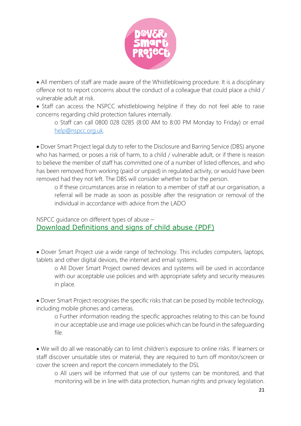

• All members of staff are made aware of the Whistleblowing procedure. It is a disciplinary offence not to report concerns about the conduct of a colleague that could place a child / vulnerable adult at risk.

• Staff can access the NSPCC whistleblowing helpline if they do not feel able to raise concerns regarding child protection failures internally.

o Staff can call 0800 028 0285 (8:00 AM to 8:00 PM Monday to Friday) or email [help@nspcc.org.uk.](mailto:help@nspcc.org.uk)

• Dover Smart Project legal duty to refer to the Disclosure and Barring Service (DBS) anyone who has harmed, or poses a risk of harm, to a child / vulnerable adult, or if there is reason to believe the member of staff has committed one of a number of listed offences, and who has been removed from working (paid or unpaid) in regulated activity, or would have been removed had they not left. The DBS will consider whether to bar the person.

o If these circumstances arise in relation to a member of staff at our organisation, a referral will be made as soon as possible after the resignation or removal of the individual in accordance with advice from the LADO

## NSPCC guidance on different types of abuse – Download [Definitions and signs of child abuse \(PDF\)](https://learning.nspcc.org.uk/media/1188/definitions-signs-child-abuse.pdf)

• Dover Smart Project use a wide range of technology. This includes computers, laptops, tablets and other digital devices, the internet and email systems.

o All Dover Smart Project owned devices and systems will be used in accordance with our acceptable use policies and with appropriate safety and security measures in place.

• Dover Smart Project recognises the specific risks that can be posed by mobile technology, including mobile phones and cameras.

o Further information reading the specific approaches relating to this can be found in our acceptable use and image use policies which can be found in the safeguarding file.

• We will do all we reasonably can to limit children's exposure to online risks. If learners or staff discover unsuitable sites or material, they are required to turn off monitor/screen or cover the screen and report the concern immediately to the DSL

o All users will be informed that use of our systems can be monitored, and that monitoring will be in line with data protection, human rights and privacy legislation.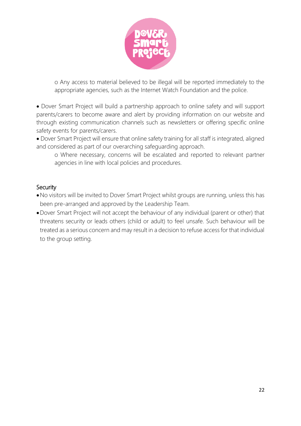

o Any access to material believed to be illegal will be reported immediately to the appropriate agencies, such as the Internet Watch Foundation and the police.

• Dover Smart Project will build a partnership approach to online safety and will support parents/carers to become aware and alert by providing information on our website and through existing communication channels such as newsletters or offering specific online safety events for parents/carers.

• Dover Smart Project will ensure that online safety training for all staff is integrated, aligned and considered as part of our overarching safeguarding approach.

o Where necessary, concerns will be escalated and reported to relevant partner agencies in line with local policies and procedures.

#### **Security**

- •No visitors will be invited to Dover Smart Project whilst groups are running, unless this has been pre-arranged and approved by the Leadership Team.
- •Dover Smart Project will not accept the behaviour of any individual (parent or other) that threatens security or leads others (child or adult) to feel unsafe. Such behaviour will be treated as a serious concern and may result in a decision to refuse access for that individual to the group setting.